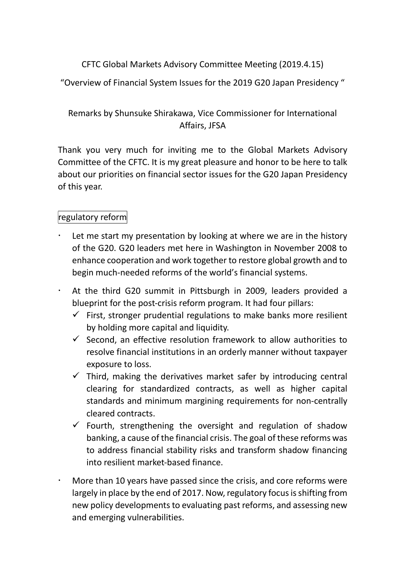### CFTC Global Markets Advisory Committee Meeting (2019.4.15)

"Overview of Financial System Issues for the 2019 G20 Japan Presidency "

## Remarks by Shunsuke Shirakawa, Vice Commissioner for International Affairs, JFSA

Thank you very much for inviting me to the Global Markets Advisory Committee of the CFTC. It is my great pleasure and honor to be here to talk about our priorities on financial sector issues for the G20 Japan Presidency of this year.

### regulatory reform

- Let me start my presentation by looking at where we are in the history of the G20. G20 leaders met here in Washington in November 2008 to enhance cooperation and work together to restore global growth and to begin much-needed reforms of the world's financial systems.
- At the third G20 summit in Pittsburgh in 2009, leaders provided a blueprint for the post-crisis reform program. It had four pillars:
	- $\checkmark$  First, stronger prudential regulations to make banks more resilient by holding more capital and liquidity.
	- $\checkmark$  Second, an effective resolution framework to allow authorities to resolve financial institutions in an orderly manner without taxpayer exposure to loss.
	- $\checkmark$  Third, making the derivatives market safer by introducing central clearing for standardized contracts, as well as higher capital standards and minimum margining requirements for non-centrally cleared contracts.
	- $\checkmark$  Fourth, strengthening the oversight and regulation of shadow banking, a cause of the financial crisis. The goal of these reforms was to address financial stability risks and transform shadow financing into resilient market-based finance.
- More than 10 years have passed since the crisis, and core reforms were largely in place by the end of 2017. Now, regulatory focus is shifting from new policy developments to evaluating past reforms, and assessing new and emerging vulnerabilities.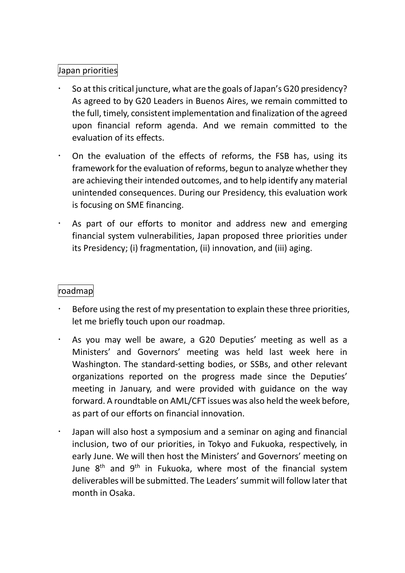## Japan priorities

- So at this critical juncture, what are the goals of Japan's G20 presidency? As agreed to by G20 Leaders in Buenos Aires, we remain committed to the full, timely, consistent implementation and finalization of the agreed upon financial reform agenda. And we remain committed to the evaluation of its effects.
- On the evaluation of the effects of reforms, the FSB has, using its framework for the evaluation of reforms, begun to analyze whether they are achieving their intended outcomes, and to help identify any material unintended consequences. During our Presidency, this evaluation work is focusing on SME financing.
- As part of our efforts to monitor and address new and emerging financial system vulnerabilities, Japan proposed three priorities under its Presidency; (i) fragmentation, (ii) innovation, and (iii) aging.

#### roadmap

- Before using the rest of my presentation to explain these three priorities, let me briefly touch upon our roadmap.
- As you may well be aware, a G20 Deputies' meeting as well as a Ministers' and Governors' meeting was held last week here in Washington. The standard-setting bodies, or SSBs, and other relevant organizations reported on the progress made since the Deputies' meeting in January, and were provided with guidance on the way forward. A roundtable on AML/CFT issues was also held the week before, as part of our efforts on financial innovation.
- Japan will also host a symposium and a seminar on aging and financial inclusion, two of our priorities, in Tokyo and Fukuoka, respectively, in early June. We will then host the Ministers' and Governors' meeting on June  $8<sup>th</sup>$  and  $9<sup>th</sup>$  in Fukuoka, where most of the financial system deliverables will be submitted. The Leaders' summit will follow later that month in Osaka.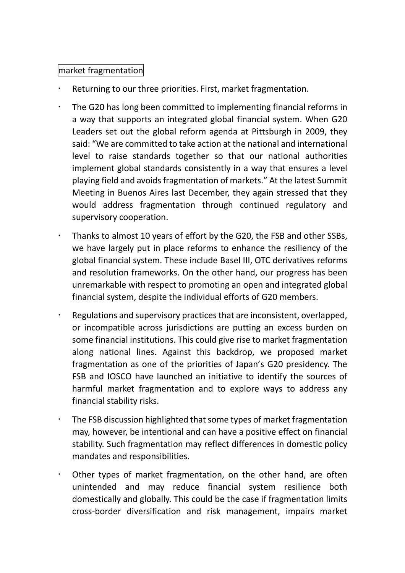#### market fragmentation

- Returning to our three priorities. First, market fragmentation.
- The G20 has long been committed to implementing financial reforms in a way that supports an integrated global financial system. When G20 Leaders set out the global reform agenda at Pittsburgh in 2009, they said: "We are committed to take action at the national and international level to raise standards together so that our national authorities implement global standards consistently in a way that ensures a level playing field and avoids fragmentation of markets." At the latest Summit Meeting in Buenos Aires last December, they again stressed that they would address fragmentation through continued regulatory and supervisory cooperation.
- Thanks to almost 10 years of effort by the G20, the FSB and other SSBs, we have largely put in place reforms to enhance the resiliency of the global financial system. These include Basel III, OTC derivatives reforms and resolution frameworks. On the other hand, our progress has been unremarkable with respect to promoting an open and integrated global financial system, despite the individual efforts of G20 members.
- Regulations and supervisory practices that are inconsistent, overlapped, or incompatible across jurisdictions are putting an excess burden on some financial institutions. This could give rise to market fragmentation along national lines. Against this backdrop, we proposed market fragmentation as one of the priorities of Japan's G20 presidency. The FSB and IOSCO have launched an initiative to identify the sources of harmful market fragmentation and to explore ways to address any financial stability risks.
- The FSB discussion highlighted that some types of market fragmentation may, however, be intentional and can have a positive effect on financial stability. Such fragmentation may reflect differences in domestic policy mandates and responsibilities.
- Other types of market fragmentation, on the other hand, are often unintended and may reduce financial system resilience both domestically and globally. This could be the case if fragmentation limits cross-border diversification and risk management, impairs market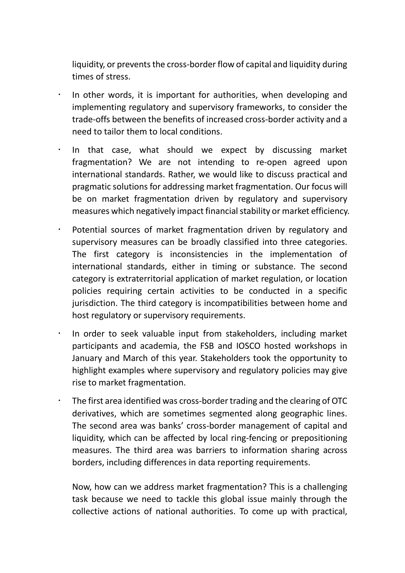liquidity, or prevents the cross-border flow of capital and liquidity during times of stress.

- In other words, it is important for authorities, when developing and implementing regulatory and supervisory frameworks, to consider the trade-offs between the benefits of increased cross-border activity and a need to tailor them to local conditions.
- $\cdot$  In that case, what should we expect by discussing market fragmentation? We are not intending to re-open agreed upon international standards. Rather, we would like to discuss practical and pragmatic solutions for addressing market fragmentation. Our focus will be on market fragmentation driven by regulatory and supervisory measures which negatively impact financial stability or market efficiency.
- Potential sources of market fragmentation driven by regulatory and supervisory measures can be broadly classified into three categories. The first category is inconsistencies in the implementation of international standards, either in timing or substance. The second category is extraterritorial application of market regulation, or location policies requiring certain activities to be conducted in a specific jurisdiction. The third category is incompatibilities between home and host regulatory or supervisory requirements.
- $\cdot$  In order to seek valuable input from stakeholders, including market participants and academia, the FSB and IOSCO hosted workshops in January and March of this year. Stakeholders took the opportunity to highlight examples where supervisory and regulatory policies may give rise to market fragmentation.
	- The first area identified was cross-border trading and the clearing of OTC derivatives, which are sometimes segmented along geographic lines. The second area was banks' cross-border management of capital and liquidity, which can be affected by local ring-fencing or prepositioning measures. The third area was barriers to information sharing across borders, including differences in data reporting requirements.

Now, how can we address market fragmentation? This is a challenging task because we need to tackle this global issue mainly through the collective actions of national authorities. To come up with practical,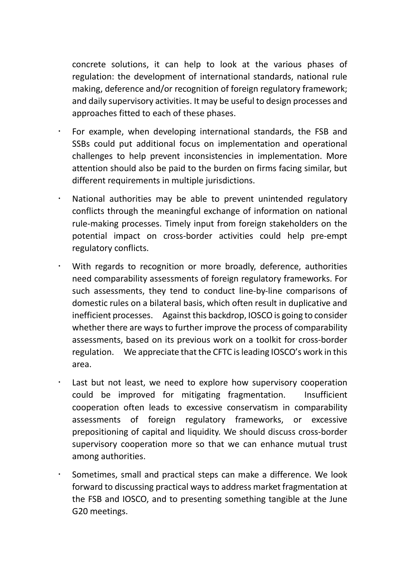concrete solutions, it can help to look at the various phases of regulation: the development of international standards, national rule making, deference and/or recognition of foreign regulatory framework; and daily supervisory activities. It may be useful to design processes and approaches fitted to each of these phases.

- For example, when developing international standards, the FSB and SSBs could put additional focus on implementation and operational challenges to help prevent inconsistencies in implementation. More attention should also be paid to the burden on firms facing similar, but different requirements in multiple jurisdictions.
- National authorities may be able to prevent unintended regulatory conflicts through the meaningful exchange of information on national rule-making processes. Timely input from foreign stakeholders on the potential impact on cross-border activities could help pre-empt regulatory conflicts.
- With regards to recognition or more broadly, deference, authorities need comparability assessments of foreign regulatory frameworks. For such assessments, they tend to conduct line-by-line comparisons of domestic rules on a bilateral basis, which often result in duplicative and inefficient processes. Against this backdrop, IOSCO is going to consider whether there are ways to further improve the process of comparability assessments, based on its previous work on a toolkit for cross-border regulation. We appreciate that the CFTC is leading IOSCO's work in this area.
- Last but not least, we need to explore how supervisory cooperation could be improved for mitigating fragmentation. Insufficient cooperation often leads to excessive conservatism in comparability assessments of foreign regulatory frameworks, or excessive prepositioning of capital and liquidity. We should discuss cross-border supervisory cooperation more so that we can enhance mutual trust among authorities.
- Sometimes, small and practical steps can make a difference. We look forward to discussing practical ways to address market fragmentation at the FSB and IOSCO, and to presenting something tangible at the June G20 meetings.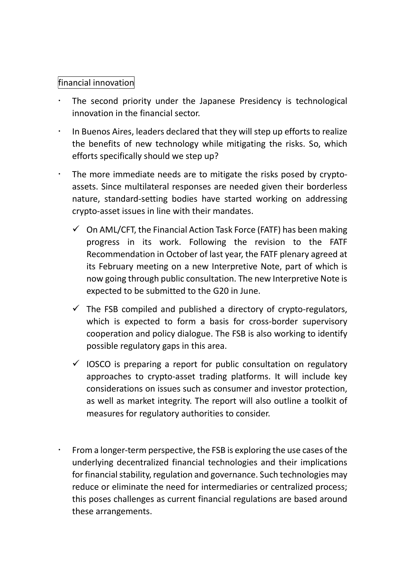#### financial innovation

- The second priority under the Japanese Presidency is technological innovation in the financial sector.
- $\cdot$  In Buenos Aires, leaders declared that they will step up efforts to realize the benefits of new technology while mitigating the risks. So, which efforts specifically should we step up?
- $\cdot$  The more immediate needs are to mitigate the risks posed by cryptoassets. Since multilateral responses are needed given their borderless nature, standard-setting bodies have started working on addressing crypto-asset issues in line with their mandates.
	- $\checkmark$  On AML/CFT, the Financial Action Task Force (FATF) has been making progress in its work. Following the revision to the FATF Recommendation in October of last year, the FATF plenary agreed at its February meeting on a new Interpretive Note, part of which is now going through public consultation. The new Interpretive Note is expected to be submitted to the G20 in June.
	- $\checkmark$  The FSB compiled and published a directory of crypto-regulators, which is expected to form a basis for cross-border supervisory cooperation and policy dialogue. The FSB is also working to identify possible regulatory gaps in this area.
	- $\checkmark$  IOSCO is preparing a report for public consultation on regulatory approaches to crypto-asset trading platforms. It will include key considerations on issues such as consumer and investor protection, as well as market integrity. The report will also outline a toolkit of measures for regulatory authorities to consider.
	- From a longer-term perspective, the FSB is exploring the use cases of the underlying decentralized financial technologies and their implications for financial stability, regulation and governance. Such technologies may reduce or eliminate the need for intermediaries or centralized process; this poses challenges as current financial regulations are based around these arrangements.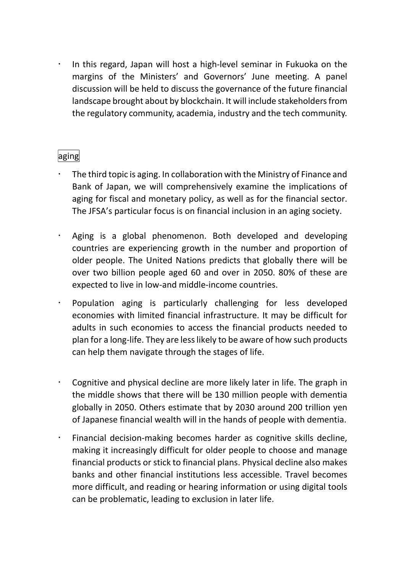In this regard, Japan will host a high-level seminar in Fukuoka on the margins of the Ministers' and Governors' June meeting. A panel discussion will be held to discuss the governance of the future financial landscape brought about by blockchain. It will include stakeholders from the regulatory community, academia, industry and the tech community.

# aging

- The third topic is aging. In collaboration with the Ministry of Finance and Bank of Japan, we will comprehensively examine the implications of aging for fiscal and monetary policy, as well as for the financial sector. The JFSA's particular focus is on financial inclusion in an aging society.
- Aging is a global phenomenon. Both developed and developing countries are experiencing growth in the number and proportion of older people. The United Nations predicts that globally there will be over two billion people aged 60 and over in 2050. 80% of these are expected to live in low-and middle-income countries.
- Population aging is particularly challenging for less developed economies with limited financial infrastructure. It may be difficult for adults in such economies to access the financial products needed to plan for a long-life. They are less likely to be aware of how such products can help them navigate through the stages of life.
- Cognitive and physical decline are more likely later in life. The graph in the middle shows that there will be 130 million people with dementia globally in 2050. Others estimate that by 2030 around 200 trillion yen of Japanese financial wealth will in the hands of people with dementia.
- Financial decision-making becomes harder as cognitive skills decline, making it increasingly difficult for older people to choose and manage financial products or stick to financial plans. Physical decline also makes banks and other financial institutions less accessible. Travel becomes more difficult, and reading or hearing information or using digital tools can be problematic, leading to exclusion in later life.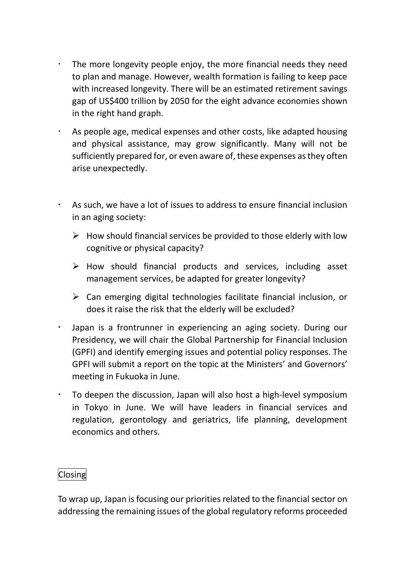- The more longevity people enjoy, the more financial needs they need to plan and manage. However, wealth formation is failing to keep pace with increased longevity. There will be an estimated retirement savings gap of US\$400 trillion by 2050 for the eight advance economies shown in the right hand graph.
- As people age, medical expenses and other costs, like adapted housing and physical assistance, may grow significantly. Many will not be sufficiently prepared for, or even aware of, these expenses as they often arise unexpectedly.
- As such, we have a lot of issues to address to ensure financial inclusion in an aging society:
	- $\triangleright$  How should financial services be provided to those elderly with low cognitive or physical capacity?
	- $\triangleright$  How should financial products and services, including asset management services, be adapted for greater longevity?
	- $\triangleright$  Can emerging digital technologies facilitate financial inclusion, or does it raise the risk that the elderly will be excluded?
- Japan is a frontrunner in experiencing an aging society. During our Presidency, we will chair the Global Partnership for Financial Inclusion (GPFI) and identify emerging issues and potential policy responses. The GPFI will submit a report on the topic at the Ministers' and Governors' meeting in Fukuoka in June.
- To deepen the discussion, Japan will also host a high-level symposium in Tokyo in June. We will have leaders in financial services and regulation, gerontology and geriatrics, life planning, development economics and others.

#### Closing

To wrap up, Japan is focusing our priorities related to the financial sector on addressing the remaining issues of the global regulatory reforms proceeded